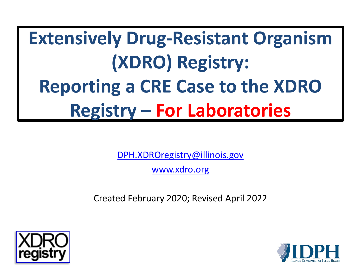**Extensively Drug-Resistant Organism (XDRO) Registry: Reporting a CRE Case to the XDRO Registry – For Laboratories**

[DPH.XDROregistry@illinois.gov](mailto:DPH.XDROregistry@illinois.gov)

[www.xdro.org](http://www.xdro.org/)

Created February 2020; Revised April 2022



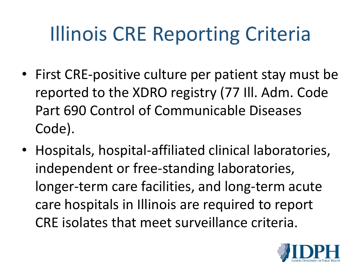# Illinois CRE Reporting Criteria

- First CRE-positive culture per patient stay must be reported to the XDRO registry (77 Ill. Adm. Code Part 690 Control of Communicable Diseases Code).
- Hospitals, hospital-affiliated clinical laboratories, independent or free-standing laboratories, longer-term care facilities, and long-term acute care hospitals in Illinois are required to report CRE isolates that meet surveillance criteria.

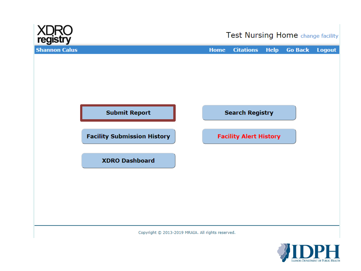



**ILLINOIS DEPARTMENT OF PUBLIC HEALT**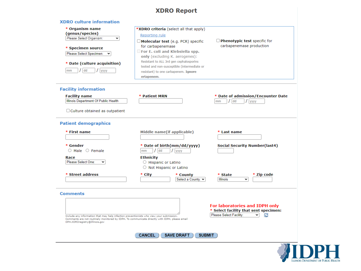# **XDRO Report**

| * Organism name<br>(genus/species)<br>Please Select Organism:<br>$\checkmark$<br>* Specimen source<br>Please Select Specimen:<br>$\checkmark$<br>* Date (culture acquisition)<br>dd<br>mm<br>yyyy | *XDRO criteria (select all that apply)<br>Reporting rule<br>Molecular test (e.g. PCR) specific<br>for carbapenemase<br>For E. coli and Klebsiella spp.<br>only (excluding K. aerogenes):<br>Resistant to ALL 3rd gen cephalosporins<br>tested and non-susceptible (intermediate or<br>resistant) to one carbapenem. Ignore<br>ertapenem. | $\Box$ Phenotypic test specific for<br>carbapenemase production                                         |
|---------------------------------------------------------------------------------------------------------------------------------------------------------------------------------------------------|------------------------------------------------------------------------------------------------------------------------------------------------------------------------------------------------------------------------------------------------------------------------------------------------------------------------------------------|---------------------------------------------------------------------------------------------------------|
| <b>Facility information</b><br><b>Facility name</b><br>Illinois Department Of Public Health<br>$\Box$ Culture obtained as outpatient                                                              | <b>Patient MRN</b>                                                                                                                                                                                                                                                                                                                       | * Date of admission/Encounter Date<br>$/$ dd<br>mm<br>yyyy                                              |
| <b>Patient demographics</b><br>* First name<br>* Gender<br>$\bigcirc$ Male $\bigcirc$ Female<br>Race<br>Please Select One:<br>v                                                                   | Middle name(if applicable)<br>* Date of birth(mm/dd/yyyy)<br>$/$ dd<br>$\frac{1}{2}$ yyyy<br>mm<br><b>Ethnicity</b><br>O Hispanic or Latino                                                                                                                                                                                              | * Last name<br><b>Social Security Number(last4)</b>                                                     |
| * Street address                                                                                                                                                                                  | $\circ$ Not Hispanic or Latino<br>* City<br>* County<br>Select a County: v                                                                                                                                                                                                                                                               | * Zip code<br>* State<br><b>Illinois</b><br>v                                                           |
| Comments<br>Include any information that may help infection preventionists who view your submission.<br>DPH.XDROregistry@Illinois.gov                                                             | Comments are not routinely monitored by IDPH. To communicate directly with IDPH, please email<br><b>CANCEL</b><br><b>SAVE DRAFT</b><br><b>SUBMIT</b>                                                                                                                                                                                     | For laboratories and IDPH only<br>* Select facility that sent specimen:<br>Please Select Facility:<br>v |

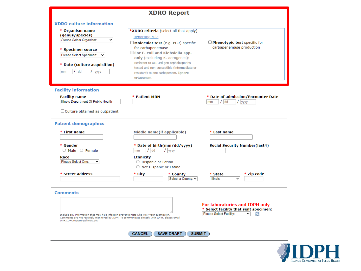|                                                                                                                                                                                                                                               | <b>XDRO Report</b>                                                                                                                                                                                                                                                                                                                                     |                                                                                                                        |
|-----------------------------------------------------------------------------------------------------------------------------------------------------------------------------------------------------------------------------------------------|--------------------------------------------------------------------------------------------------------------------------------------------------------------------------------------------------------------------------------------------------------------------------------------------------------------------------------------------------------|------------------------------------------------------------------------------------------------------------------------|
| <b>XDRO</b> culture information<br>* Organism name<br>(genus/species)<br>Please Select Organism:<br>v<br>* Specimen source<br>Please Select Specimen:<br>* Date (culture acquisition)<br>dd<br>mm<br>yyyy                                     | *XDRO criteria (select all that apply)<br>Reporting rule<br>$\Box$ Molecular test (e.g. PCR) specific<br>for carbapenemase<br><b>For E. coli and Klebsiella spp.</b><br>only (excluding K. aerogenes):<br>Resistant to ALL 3rd gen cephalosporins<br>tested and non-susceptible (intermediate or<br>resistant) to one carbapenem. Ignore<br>ertapenem. | $\Box$ Phenotypic test specific for<br>carbapenemase production                                                        |
| <b>Facility information</b><br><b>Facility name</b><br>Illinois Department Of Public Health<br>$\Box$ Culture obtained as outpatient                                                                                                          | <b>Patient MRN</b>                                                                                                                                                                                                                                                                                                                                     | * Date of admission/Encounter Date<br>dd<br>yyyy<br>mm                                                                 |
| <b>Patient demographics</b><br>* First name<br>* Gender<br>$\bigcirc$ Male $\bigcirc$ Female<br>Race<br>Please Select One:<br>v                                                                                                               | Middle name(if applicable)<br>* Date of birth(mm/dd/yyyy)<br>$/$ dd<br>$\frac{1}{2}$ yyyy<br>mm<br><b>Ethnicity</b><br>$\circ$ Hispanic or Latino<br>$\circ$ Not Hispanic or Latino                                                                                                                                                                    | * Last name<br><b>Social Security Number(last4)</b>                                                                    |
| * Street address                                                                                                                                                                                                                              | * City<br>* County<br>Select a County: ↓                                                                                                                                                                                                                                                                                                               | * Zip code<br>* State<br><b>Illinois</b><br>$\checkmark$                                                               |
| <b>Comments</b><br>Include any information that may help infection preventionists who view your submission.<br>Comments are not routinely monitored by IDPH. To communicate directly with IDPH, please email<br>DPH.XDROregistry@Illinois.gov |                                                                                                                                                                                                                                                                                                                                                        | For laboratories and IDPH only<br>* Select facility that sent specimen:<br>Please Select Facility:<br>B<br>$\check{ }$ |
|                                                                                                                                                                                                                                               | <b>CANCEL</b><br><b>SAVE DRAFT</b><br><b>SUBMIT</b>                                                                                                                                                                                                                                                                                                    |                                                                                                                        |

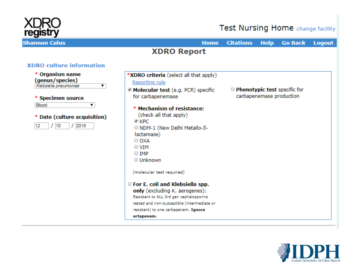



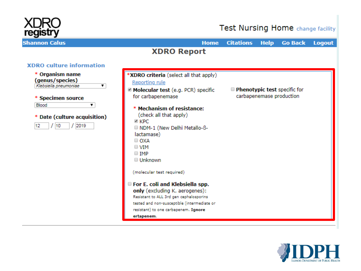

12



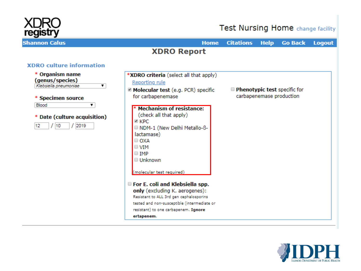



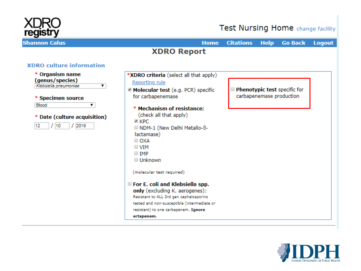

12



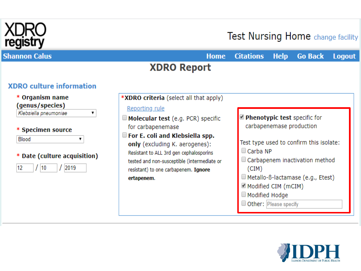

## **Shannon Calus**

#### **Home Citations Help Go Back Logout XDRO Report**

# **XDRO** culture information

#### \* Organism name (genus/species)

Klebsiella pneumoniae

#### \* Specimen source

Blood

### \* Date (culture acquisition)

▼.

۷.



\*XDRO criteria (select all that apply)

#### Reporting rule

- Molecular test (e.g. PCR) specific for carbapenemase
- For E. coli and Klebsiella spp. only (excluding K. aerogenes): Resistant to ALL 3rd gen cephalosporins tested and non-susceptible (intermediate or resistant) to one carbapenem. Ignore ertapenem.
- Phenotypic test specific for carbapenemase production

Test type used to confirm this isolate:  $\Box$  Carba NP

- Carbapenem inactivation method  $(CIM)$
- Metallo-B-lactamase (e.g., Etest)
- Modified CIM (mCIM)
- Modified Hodge
- Other: Please specify

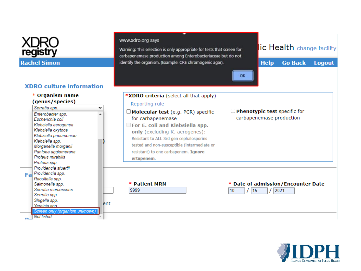

**Rachel Simon** 

#### **XDRO** culture information

#### \* Organism name \*XDRO criteria (select all that apply) (genus/species) Reporting rule Serratia spp. ۰  $\Box$  Phenotypic test specific for  $\square$  Molecular test (e.g. PCR) specific Enterobacter spp.  $\blacktriangle$ carbapenemase production for carbapenemase Escherichia coli Klebsiella aerogenes For E. coli and Klebsiella spp. Klebsiella oxytoca only (excluding K. aerogenes): Klebsiella pneumoniae Resistant to ALL 3rd gen cephalosporins Klebsiella spp. tested and non-susceptible (intermediate or Morganella morganii Pantoea agglomerans resistant) to one carbapenem. Ignore Proteus mirabilis ertapenem. Proteus spp. Providencia stuartii Fa Providencia spp. Raoultella spp. \* Date of admission/Encounter Date Salmonella spp. \* Patient MRN Serratia marcescens 9999  $/15$  $10$ 2021 Serratia spp. Shigella spp. ent Yersinia spp. Screen only (organism unknown) Not listed



www.xdro.org says

Warning: This selection is only appropriate for tests that screen for carbapenemase production among Enterobacteriaceae but do not identify the organism. (Example: CRE chromogenic agar).

# lic Health change facility

**Help Go Back Logout** 

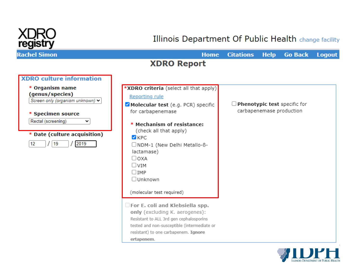

# Illinois Department Of Public Health change facility

**Rachel Simon** 

**Citations Home Help Go Back Logout** 

# **XDRO Report**



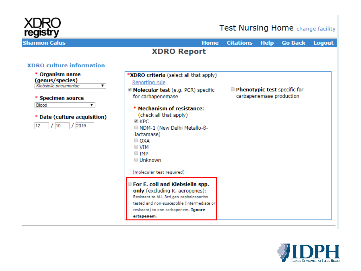



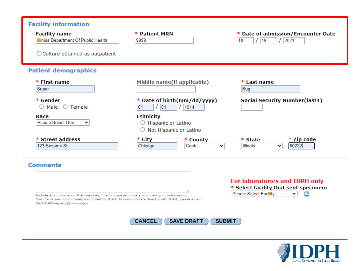| <b>Facility information</b><br><b>Facility name</b><br>Illinois Department Of Public Health<br>$\Box$ Culture obtained as outpatient | * Patient MRN<br>9999                                                 | * Date of admission/Encounter Date<br>2021<br>19<br>10 |
|--------------------------------------------------------------------------------------------------------------------------------------|-----------------------------------------------------------------------|--------------------------------------------------------|
| <b>Patient demographics</b>                                                                                                          |                                                                       |                                                        |
| * First name<br>Super                                                                                                                | Middle name(if applicable)                                            | * Last name<br>Bug                                     |
| * Gender<br>$\circ$ Male $\circ$ Female                                                                                              | * Date of birth(mm/dd/yyyy)<br> 01<br>/ 1914<br>01                    | <b>Social Security Number(last4)</b>                   |
| Race<br>Please Select One:<br>$\checkmark$                                                                                           | <b>Ethnicity</b><br>Hispanic or Latino<br>Not Hispanic or Latino<br>U |                                                        |
| * Street address<br>123 Sesame St.                                                                                                   | * City<br>* County<br>Cook<br>Chicago<br>v                            | * Zip code<br>* State<br>60222<br>Illinois<br>丷        |

**SAVE DRAFT** 

**SUBMIT** 

#### **Comments**



**CANCEL** 

#### For laboratories and IDPH only

\* Select facility that sent specimen:

Please Select Facility: B  $\mathord{\check{\mathsf{v}}}$  .

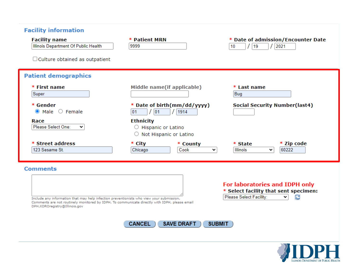| <b>Facility information</b><br><b>Facility name</b>                                                                                          | * Patient MRN                                                                                 | * Date of admission/Encounter Date                                                                                      |
|----------------------------------------------------------------------------------------------------------------------------------------------|-----------------------------------------------------------------------------------------------|-------------------------------------------------------------------------------------------------------------------------|
| Illinois Department Of Public Health                                                                                                         | 9999                                                                                          | 19<br>2021<br>10                                                                                                        |
| $\Box$ Culture obtained as outpatient                                                                                                        |                                                                                               |                                                                                                                         |
| <b>Patient demographics</b><br>* First name<br>Super                                                                                         | Middle name(if applicable)                                                                    | * Last name<br>Bug                                                                                                      |
| * Gender<br>$\bullet$ Male $\circ$ Female                                                                                                    | * Date of birth(mm/dd/yyyy)<br>$/$ 01<br>/1914<br>01                                          | <b>Social Security Number(last4)</b>                                                                                    |
| Race<br>Please Select One:<br>v                                                                                                              | <b>Ethnicity</b><br>O Hispanic or Latino<br>O Not Hispanic or Latino                          |                                                                                                                         |
| * Street address                                                                                                                             | * City<br>* County                                                                            | * Zip code<br>* State                                                                                                   |
| 123 Sesame St.                                                                                                                               | Chicago<br>Cook<br>$\checkmark$                                                               | 60222<br>Illinois<br>$\checkmark$                                                                                       |
| <b>Comments</b><br>Include any information that may help infection preventionists who view your submission.<br>DPH.XDROregistry@Illinois.gov | Comments are not routinely monitored by IDPH. To communicate directly with IDPH, please email | For laboratories and IDPH only<br>* Select facility that sent specimen:<br>Please Select Facility:<br>B<br>$\checkmark$ |
|                                                                                                                                              | <b>SAVE DRAFT</b><br><b>CANCEL</b>                                                            | <b>SUBMIT</b>                                                                                                           |
|                                                                                                                                              |                                                                                               |                                                                                                                         |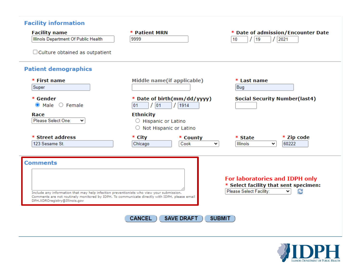

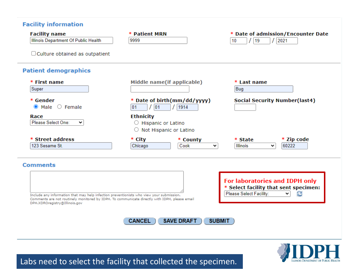| <b>Facility information</b>                                                                                                                                                                                                |                                                                            |                                                                                                              |
|----------------------------------------------------------------------------------------------------------------------------------------------------------------------------------------------------------------------------|----------------------------------------------------------------------------|--------------------------------------------------------------------------------------------------------------|
| <b>Facility name</b><br>Illinois Department Of Public Health                                                                                                                                                               | <b>* Patient MRN</b><br>9999                                               | * Date of admission/Encounter Date<br>$/$ 2021<br>19<br>10                                                   |
| $\Box$ Culture obtained as outpatient                                                                                                                                                                                      |                                                                            |                                                                                                              |
| <b>Patient demographics</b>                                                                                                                                                                                                |                                                                            |                                                                                                              |
| * First name<br>Super                                                                                                                                                                                                      | Middle name(if applicable)                                                 | * Last name<br>Bug                                                                                           |
| * Gender<br>$\bullet$ Male $\circ$ Female                                                                                                                                                                                  | * Date of birth(mm/dd/yyyy)<br>01<br>1914<br>01                            | <b>Social Security Number(last4)</b>                                                                         |
| Race<br>Please Select One:<br>v                                                                                                                                                                                            | <b>Ethnicity</b><br>$\circ$ Hispanic or Latino<br>O Not Hispanic or Latino |                                                                                                              |
| * Street address<br>123 Sesame St.                                                                                                                                                                                         | * City<br>* County<br>Cook<br>Chicago<br>v                                 | * Zip code<br>* State<br><b>Illinois</b><br>60222<br>v                                                       |
| <b>Comments</b>                                                                                                                                                                                                            |                                                                            |                                                                                                              |
| Include any information that may help infection preventionists who view your submission.<br>Comments are not routinely monitored by IDPH. To communicate directly with IDPH, please email<br>DPH.XDROregistry@Illinois.gov | <b>CANCEL</b><br><b>SAVE DRAFT</b><br><b>SUBMIT</b>                        | For laboratories and IDPH only<br>* Select facility that sent specimen:<br>Please Select Facility:<br>v<br>2 |



Labs need to select the facility that collected the specimen.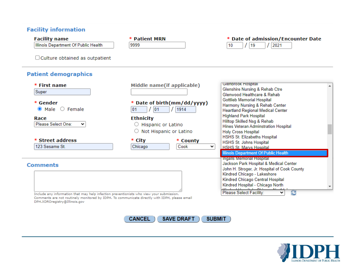

**SAVE DRAFT CANCEL** 

**SUBMIT** 

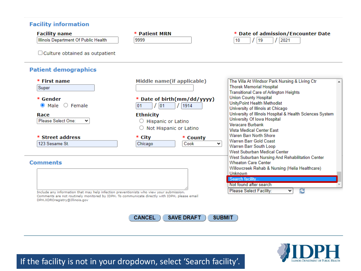



If the facility is not in your dropdown, select 'Search facility'.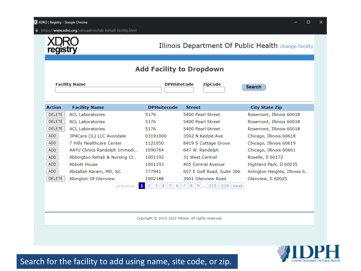- e



|                                 |                                                  |                                                         |                                                                    | Illinois Department Of Public Health change facility |  |
|---------------------------------|--------------------------------------------------|---------------------------------------------------------|--------------------------------------------------------------------|------------------------------------------------------|--|
| <b>Add Facility to Dropdown</b> |                                                  |                                                         |                                                                    |                                                      |  |
|                                 | <b>Facility Name</b>                             | <b>DPHSiteCode</b>                                      | <b>ZipCode</b>                                                     | <b>Search</b>                                        |  |
| <b>Action</b>                   | <b>Facility Name</b>                             | <b>DPHsitecode</b>                                      | <b>Street</b>                                                      | <b>City State Zip</b>                                |  |
| <b>DELETE</b>                   | <b>ACL Laboratories</b>                          | 5176                                                    | 5400 Pearl Street                                                  | Rosemont, Illinois 60018                             |  |
| <b>DELETE</b>                   | <b>ACL Laboratories</b>                          | 5176                                                    | 5400 Pearl Street                                                  | Rosemont, Illinois 60018                             |  |
| <b>DELETE</b>                   | <b>ACL Laboratories</b>                          | 5176                                                    | 5400 Pearl Street                                                  | Rosemont, Illinois 60018                             |  |
| ADD                             | 3P4Care (IL) LLC Avondale                        | 03191000                                                | 3502 N Kedzie Ave                                                  | Chicago, Illinois 60618                              |  |
| <b>ADD</b>                      | 7 Hills Healthcare Center                        | 1121050                                                 | 8419 S Cottage Grove                                               | Chicago, Illinois 60619                              |  |
| <b>ADD</b>                      | AAYU Clinics Randolph Immedi                     | 1090764                                                 | 647 W. Randolph                                                    | Chicago, Illinois 60661                              |  |
| <b>ADD</b>                      | Abbington Rehab & Nursing Ct                     | 1001192                                                 | 31 West Central                                                    | Roselle, Il 60172                                    |  |
| <b>ADD</b>                      | <b>Abbott House</b>                              | 1001193                                                 | 405 Central Avenue                                                 | Highland Park, Il 60035                              |  |
| ADD                             | Abdallah Karam, MD, SC                           | 777941                                                  | 657 E Golf Road, Suite 306                                         | Arlington Heights, Illinois 6                        |  |
| <b>DELETE</b>                   | Abington Of Glenview<br>$\mathbf{1}$<br>previous | 1002188<br>$\vert$ 3<br> 2 <br>5<br>$\overline{4}$<br>6 | 3901 Glenview Road<br>9<br>$\frac{1}{215}$<br>8<br>216<br>$ $ next | Glenview, Il 60025                                   |  |
|                                 |                                                  |                                                         |                                                                    |                                                      |  |
|                                 |                                                  |                                                         |                                                                    |                                                      |  |
|                                 |                                                  |                                                         | Copyright © 2013-2022 MRAIA. All rights reserved.                  |                                                      |  |
|                                 |                                                  |                                                         |                                                                    |                                                      |  |



Search for the facility to add using name, site code, or zip.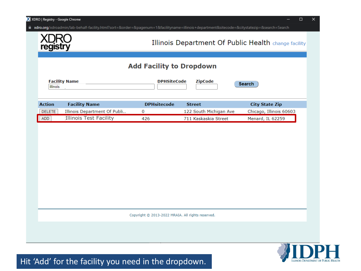|  | X XDRO   Registry - Google Chrome |  |  |
|--|-----------------------------------|--|--|
|  |                                   |  |  |

a xdro.org/xdroadmin/lab-behalf-facility.html?sort=&order=&pagenum=1&facilityname=illinois+department&sitecode=&citystatezip=&search=Search

| registry                        |                              | Illinois Department Of Public Health change facility |                        |                         |
|---------------------------------|------------------------------|------------------------------------------------------|------------------------|-------------------------|
| <b>Add Facility to Dropdown</b> |                              |                                                      |                        |                         |
| illinois                        | <b>Facility Name</b>         | <b>DPHSiteCode</b>                                   | <b>ZipCode</b>         | <b>Search</b>           |
| <b>Action</b>                   | <b>Facility Name</b>         | <b>DPHsitecode</b>                                   | <b>Street</b>          | <b>City State Zip</b>   |
| <b>DELETE</b>                   | Illinois Department Of Publi | $\mathbf 0$                                          | 122 South Michigan Ave | Chicago, Illinois 60603 |
| ADD                             | Illinois Test Facility       | 426                                                  | 711 Kaskaskia Street   | Menard, IL 62259        |
|                                 |                              |                                                      |                        |                         |
|                                 |                              | Copyright @ 2013-2022 MRAIA. All rights reserved.    |                        |                         |
|                                 |                              |                                                      |                        | )) [                    |

**ILLINOIS DEPARTMENT OF PUBLIC HEALTH** 

Hit 'Add' for the facility you need in the dropdown.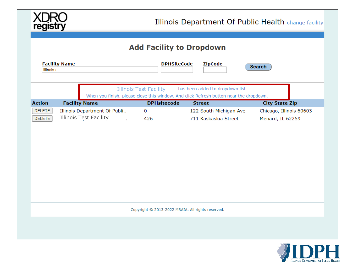

| <b>Add Facility to Dropdown</b>                   |                              |                               |                    |                                                                                                                            |                         |
|---------------------------------------------------|------------------------------|-------------------------------|--------------------|----------------------------------------------------------------------------------------------------------------------------|-------------------------|
| illinois                                          | <b>Facility Name</b>         |                               | <b>DPHSiteCode</b> | <b>ZipCode</b>                                                                                                             | <b>Search</b>           |
|                                                   |                              | <b>Illinois Test Facility</b> |                    | has been added to dropdown list.<br>When you finish, please close this window. And click Refresh button near the dropdown. |                         |
| <b>Action</b>                                     | <b>Facility Name</b>         |                               | <b>DPHsitecode</b> | <b>Street</b>                                                                                                              | <b>City State Zip</b>   |
| <b>DELETE</b>                                     | Illinois Department Of Publi |                               | $\mathbf{0}$       | 122 South Michigan Ave                                                                                                     | Chicago, Illinois 60603 |
| <b>DELETE</b>                                     | Illinois Test Facility       |                               | 426                | 711 Kaskaskia Street                                                                                                       | Menard, IL 62259        |
|                                                   |                              |                               |                    |                                                                                                                            |                         |
|                                                   |                              |                               |                    |                                                                                                                            |                         |
|                                                   |                              |                               |                    |                                                                                                                            |                         |
| Copyright @ 2013-2022 MRAIA. All rights reserved. |                              |                               |                    |                                                                                                                            |                         |
|                                                   |                              |                               |                    |                                                                                                                            |                         |
|                                                   |                              |                               |                    |                                                                                                                            |                         |

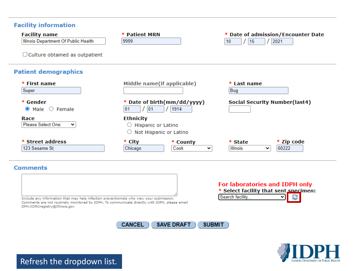

**SAVE DRAFT** 

**SUBMIT** 

#### **Comments**



Comments are not routinely monitored by IDPH. To communicate directly with IDPH, please email DPH.XDROregistry@Illinois.gov

**CANCEL** 





Refresh the dropdown list.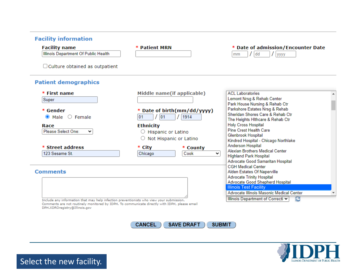



Select the new facility.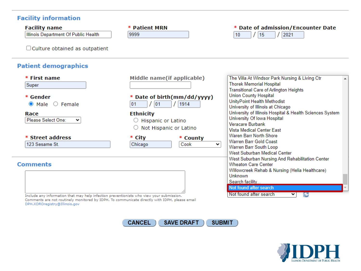#### **Facility information**



Include any information that may help infection preventionists who view your submission. Comments are not routinely monitored by IDPH. To communicate directly with IDPH, please email DPH.XDROregistry@Illinois.gov



Unknown Search facility Not found after search Not found after search



 $\overline{\mathbf{v}}$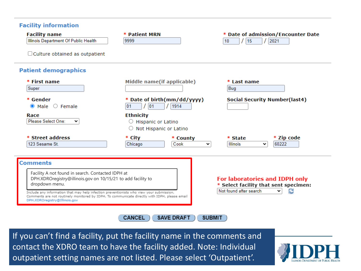

If you can't find a facility, put the facility name in the comments and contact the XDRO team to have the facility added. Note: Individual outpatient setting names are not listed. Please select 'Outpatient'.

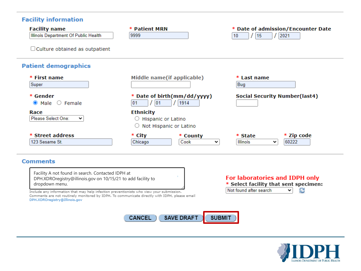#### **Facility information**

| <b>Facility name</b><br><b>Illinois Department Of Public Health</b> | * Patient MRN<br>9999                                                           | * Date of admission/Encounter Date<br>2021<br>15<br>10     |  |
|---------------------------------------------------------------------|---------------------------------------------------------------------------------|------------------------------------------------------------|--|
| $\Box$ Culture obtained as outpatient                               |                                                                                 |                                                            |  |
| <b>Patient demographics</b>                                         |                                                                                 |                                                            |  |
| * First name<br>Super                                               | Middle name(if applicable)                                                      | * Last name<br>Bug                                         |  |
| * Gender<br>$\circ$ Female<br>$\bullet$ Male                        | * Date of birth(mm/dd/yyyy)<br> 01<br>1914<br> 01                               | <b>Social Security Number(last4)</b>                       |  |
| Race<br>Please Select One:<br>$\check{ }$                           | <b>Ethnicity</b><br>$\circ$ Hispanic or Latino<br>Not Hispanic or Latino<br>( ) |                                                            |  |
| * Street address<br>123 Sesame St.                                  | * City<br>* County<br>Cook<br>Chicago<br>$\check{ }$                            | * Zip code<br>* State<br>60222<br>Illinois<br>$\checkmark$ |  |

#### **Comments**

Facility A not found in search. Contacted IDPH at DPH.XDROregistry@illinois.gov on 10/15/21 to add facility to dropdown menu.

Include any information that may help infection preventionists who view your submission. Comments are not routinely monitored by IDPH. To communicate directly with IDPH, please email DPH.XDROregistry@Illinois.gov

## For laboratories and IDPH only

\* Select facility that sent specimen:

Not found after search

ð ◡



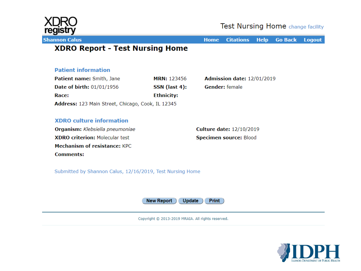

**Home Citations Help Go Back Logout** 

# **XDRO Report - Test Nursing Home**

#### **Patient information**

| <b>Patient name:</b> Smith, Jane                  | <b>MRN: 123456</b> | Admission date: 12/01/2019 |
|---------------------------------------------------|--------------------|----------------------------|
| <b>Date of birth: 01/01/1956</b>                  | SSN (last 4):      | <b>Gender:</b> female      |
| <b>Race:</b>                                      | <b>Ethnicity:</b>  |                            |
| Address: 123 Main Street, Chicago, Cook, IL 12345 |                    |                            |

#### **XDRO** culture information

| <b>Organism:</b> Klebsiella pneumoniae | <b>Culture date: 12/10/2019</b> |
|----------------------------------------|---------------------------------|
| <b>XDRO criterion:</b> Molecular test  | <b>Specimen source: Blood</b>   |
| Mechanism of resistance: KPC           |                                 |
| Comments:                              |                                 |

Submitted by Shannon Calus, 12/16/2019, Test Nursing Home



Copyright @ 2013-2019 MRAIA. All rights reserved.

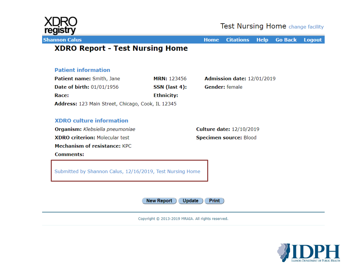

**Home Citations Help Go Back Logout** 

# **XDRO Report - Test Nursing Home**

#### **Patient information**

| <b>Patient name:</b> Smith, Jane                  | <b>MRN: 123456</b> | Admission date: 12/01/2019 |
|---------------------------------------------------|--------------------|----------------------------|
| <b>Date of birth: 01/01/1956</b>                  | SSN (last 4):      | <b>Gender:</b> female      |
| <b>Race:</b>                                      | <b>Ethnicity:</b>  |                            |
| Address: 123 Main Street, Chicago, Cook, IL 12345 |                    |                            |

#### **XDRO** culture information

Organism: Klebsiella pneumoniae **Culture date: 12/10/2019 XDRO criterion: Molecular test** Specimen source: Blood Mechanism of resistance: KPC **Comments:** Submitted by Shannon Calus, 12/16/2019, Test Nursing Home

> New Report Update **Print**

Copyright @ 2013-2019 MRAIA. All rights reserved.